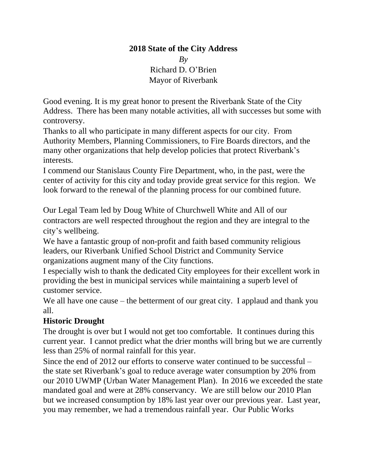# **2018 State of the City Address** *By* Richard D. O'Brien Mayor of Riverbank

Good evening. It is my great honor to present the Riverbank State of the City Address. There has been many notable activities, all with successes but some with controversy.

Thanks to all who participate in many different aspects for our city. From Authority Members, Planning Commissioners, to Fire Boards directors, and the many other organizations that help develop policies that protect Riverbank's interests.

I commend our Stanislaus County Fire Department, who, in the past, were the center of activity for this city and today provide great service for this region. We look forward to the renewal of the planning process for our combined future.

Our Legal Team led by Doug White of Churchwell White and All of our contractors are well respected throughout the region and they are integral to the city's wellbeing.

We have a fantastic group of non-profit and faith based community religious leaders, our Riverbank Unified School District and Community Service organizations augment many of the City functions.

I especially wish to thank the dedicated City employees for their excellent work in providing the best in municipal services while maintaining a superb level of customer service.

We all have one cause – the betterment of our great city. I applaud and thank you all.

## **Historic Drought**

The drought is over but I would not get too comfortable. It continues during this current year. I cannot predict what the drier months will bring but we are currently less than 25% of normal rainfall for this year.

Since the end of 2012 our efforts to conserve water continued to be successful – the state set Riverbank's goal to reduce average water consumption by 20% from our 2010 UWMP (Urban Water Management Plan). In 2016 we exceeded the state mandated goal and were at 28% conservancy. We are still below our 2010 Plan but we increased consumption by 18% last year over our previous year. Last year, you may remember, we had a tremendous rainfall year. Our Public Works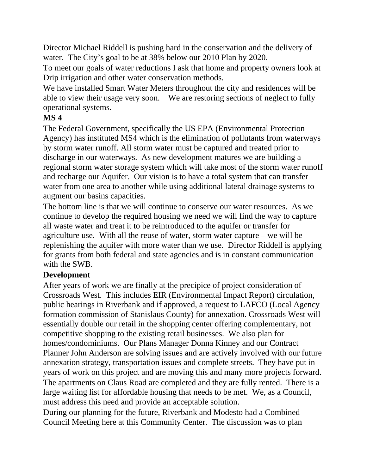Director Michael Riddell is pushing hard in the conservation and the delivery of water. The City's goal to be at 38% below our 2010 Plan by 2020.

To meet our goals of water reductions I ask that home and property owners look at Drip irrigation and other water conservation methods.

We have installed Smart Water Meters throughout the city and residences will be able to view their usage very soon. We are restoring sections of neglect to fully operational systems.

## **MS 4**

The Federal Government, specifically the US EPA (Environmental Protection Agency) has instituted MS4 which is the elimination of pollutants from waterways by storm water runoff. All storm water must be captured and treated prior to discharge in our waterways. As new development matures we are building a regional storm water storage system which will take most of the storm water runoff and recharge our Aquifer. Our vision is to have a total system that can transfer water from one area to another while using additional lateral drainage systems to augment our basins capacities.

The bottom line is that we will continue to conserve our water resources. As we continue to develop the required housing we need we will find the way to capture all waste water and treat it to be reintroduced to the aquifer or transfer for agriculture use. With all the reuse of water, storm water capture – we will be replenishing the aquifer with more water than we use. Director Riddell is applying for grants from both federal and state agencies and is in constant communication with the SWB.

## **Development**

After years of work we are finally at the precipice of project consideration of Crossroads West. This includes EIR (Environmental Impact Report) circulation, public hearings in Riverbank and if approved, a request to LAFCO (Local Agency formation commission of Stanislaus County) for annexation. Crossroads West will essentially double our retail in the shopping center offering complementary, not competitive shopping to the existing retail businesses. We also plan for homes/condominiums. Our Plans Manager Donna Kinney and our Contract Planner John Anderson are solving issues and are actively involved with our future annexation strategy, transportation issues and complete streets. They have put in years of work on this project and are moving this and many more projects forward. The apartments on Claus Road are completed and they are fully rented. There is a large waiting list for affordable housing that needs to be met. We, as a Council, must address this need and provide an acceptable solution.

During our planning for the future, Riverbank and Modesto had a Combined Council Meeting here at this Community Center. The discussion was to plan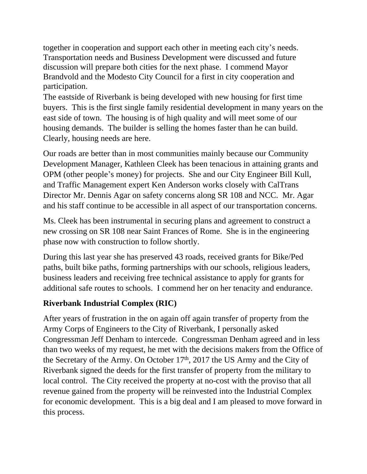together in cooperation and support each other in meeting each city's needs. Transportation needs and Business Development were discussed and future discussion will prepare both cities for the next phase. I commend Mayor Brandvold and the Modesto City Council for a first in city cooperation and participation.

The eastside of Riverbank is being developed with new housing for first time buyers. This is the first single family residential development in many years on the east side of town. The housing is of high quality and will meet some of our housing demands. The builder is selling the homes faster than he can build. Clearly, housing needs are here.

Our roads are better than in most communities mainly because our Community Development Manager, Kathleen Cleek has been tenacious in attaining grants and OPM (other people's money) for projects. She and our City Engineer Bill Kull, and Traffic Management expert Ken Anderson works closely with CalTrans Director Mr. Dennis Agar on safety concerns along SR 108 and NCC. Mr. Agar and his staff continue to be accessible in all aspect of our transportation concerns.

Ms. Cleek has been instrumental in securing plans and agreement to construct a new crossing on SR 108 near Saint Frances of Rome. She is in the engineering phase now with construction to follow shortly.

During this last year she has preserved 43 roads, received grants for Bike/Ped paths, built bike paths, forming partnerships with our schools, religious leaders, business leaders and receiving free technical assistance to apply for grants for additional safe routes to schools. I commend her on her tenacity and endurance.

## **Riverbank Industrial Complex (RIC)**

After years of frustration in the on again off again transfer of property from the Army Corps of Engineers to the City of Riverbank, I personally asked Congressman Jeff Denham to intercede. Congressman Denham agreed and in less than two weeks of my request, he met with the decisions makers from the Office of the Secretary of the Army. On October  $17<sup>th</sup>$ , 2017 the US Army and the City of Riverbank signed the deeds for the first transfer of property from the military to local control. The City received the property at no-cost with the proviso that all revenue gained from the property will be reinvested into the Industrial Complex for economic development. This is a big deal and I am pleased to move forward in this process.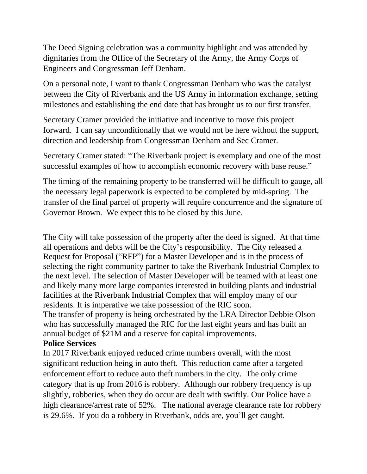The Deed Signing celebration was a community highlight and was attended by dignitaries from the Office of the Secretary of the Army, the Army Corps of Engineers and Congressman Jeff Denham.

On a personal note, I want to thank Congressman Denham who was the catalyst between the City of Riverbank and the US Army in information exchange, setting milestones and establishing the end date that has brought us to our first transfer.

Secretary Cramer provided the initiative and incentive to move this project forward. I can say unconditionally that we would not be here without the support, direction and leadership from Congressman Denham and Sec Cramer.

Secretary Cramer stated: "The Riverbank project is exemplary and one of the most successful examples of how to accomplish economic recovery with base reuse."

The timing of the remaining property to be transferred will be difficult to gauge, all the necessary legal paperwork is expected to be completed by mid-spring. The transfer of the final parcel of property will require concurrence and the signature of Governor Brown. We expect this to be closed by this June.

The City will take possession of the property after the deed is signed. At that time all operations and debts will be the City's responsibility. The City released a Request for Proposal ("RFP") for a Master Developer and is in the process of selecting the right community partner to take the Riverbank Industrial Complex to the next level. The selection of Master Developer will be teamed with at least one and likely many more large companies interested in building plants and industrial facilities at the Riverbank Industrial Complex that will employ many of our residents. It is imperative we take possession of the RIC soon.

The transfer of property is being orchestrated by the LRA Director Debbie Olson who has successfully managed the RIC for the last eight years and has built an annual budget of \$21M and a reserve for capital improvements.

#### **Police Services**

In 2017 Riverbank enjoyed reduced crime numbers overall, with the most significant reduction being in auto theft. This reduction came after a targeted enforcement effort to reduce auto theft numbers in the city. The only crime category that is up from 2016 is robbery. Although our robbery frequency is up slightly, robberies, when they do occur are dealt with swiftly. Our Police have a high clearance/arrest rate of 52%. The national average clearance rate for robbery is 29.6%. If you do a robbery in Riverbank, odds are, you'll get caught.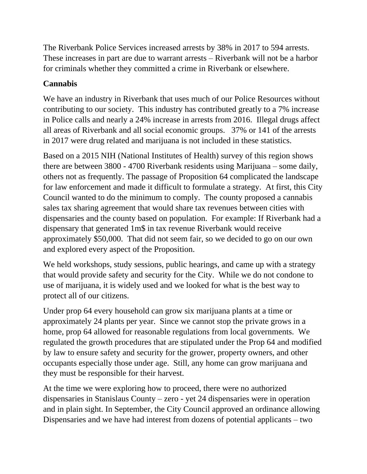The Riverbank Police Services increased arrests by 38% in 2017 to 594 arrests. These increases in part are due to warrant arrests – Riverbank will not be a harbor for criminals whether they committed a crime in Riverbank or elsewhere.

# **Cannabis**

We have an industry in Riverbank that uses much of our Police Resources without contributing to our society. This industry has contributed greatly to a 7% increase in Police calls and nearly a 24% increase in arrests from 2016. Illegal drugs affect all areas of Riverbank and all social economic groups. 37% or 141 of the arrests in 2017 were drug related and marijuana is not included in these statistics.

Based on a 2015 NIH (National Institutes of Health) survey of this region shows there are between 3800 - 4700 Riverbank residents using Marijuana – some daily, others not as frequently. The passage of Proposition 64 complicated the landscape for law enforcement and made it difficult to formulate a strategy. At first, this City Council wanted to do the minimum to comply. The county proposed a cannabis sales tax sharing agreement that would share tax revenues between cities with dispensaries and the county based on population. For example: If Riverbank had a dispensary that generated 1m\$ in tax revenue Riverbank would receive approximately \$50,000. That did not seem fair, so we decided to go on our own and explored every aspect of the Proposition.

We held workshops, study sessions, public hearings, and came up with a strategy that would provide safety and security for the City. While we do not condone to use of marijuana, it is widely used and we looked for what is the best way to protect all of our citizens.

Under prop 64 every household can grow six marijuana plants at a time or approximately 24 plants per year. Since we cannot stop the private grows in a home, prop 64 allowed for reasonable regulations from local governments. We regulated the growth procedures that are stipulated under the Prop 64 and modified by law to ensure safety and security for the grower, property owners, and other occupants especially those under age. Still, any home can grow marijuana and they must be responsible for their harvest.

At the time we were exploring how to proceed, there were no authorized dispensaries in Stanislaus County – zero - yet 24 dispensaries were in operation and in plain sight. In September, the City Council approved an ordinance allowing Dispensaries and we have had interest from dozens of potential applicants – two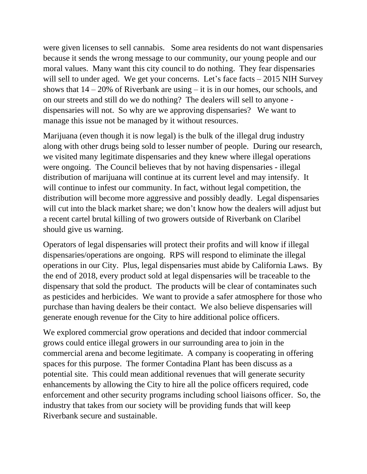were given licenses to sell cannabis. Some area residents do not want dispensaries because it sends the wrong message to our community, our young people and our moral values. Many want this city council to do nothing. They fear dispensaries will sell to under aged. We get your concerns. Let's face facts – 2015 NIH Survey shows that  $14 - 20\%$  of Riverbank are using  $-$  it is in our homes, our schools, and on our streets and still do we do nothing? The dealers will sell to anyone dispensaries will not. So why are we approving dispensaries? We want to manage this issue not be managed by it without resources.

Marijuana (even though it is now legal) is the bulk of the illegal drug industry along with other drugs being sold to lesser number of people. During our research, we visited many legitimate dispensaries and they knew where illegal operations were ongoing. The Council believes that by not having dispensaries - illegal distribution of marijuana will continue at its current level and may intensify. It will continue to infest our community. In fact, without legal competition, the distribution will become more aggressive and possibly deadly. Legal dispensaries will cut into the black market share; we don't know how the dealers will adjust but a recent cartel brutal killing of two growers outside of Riverbank on Claribel should give us warning.

Operators of legal dispensaries will protect their profits and will know if illegal dispensaries/operations are ongoing. RPS will respond to eliminate the illegal operations in our City. Plus, legal dispensaries must abide by California Laws. By the end of 2018, every product sold at legal dispensaries will be traceable to the dispensary that sold the product. The products will be clear of contaminates such as pesticides and herbicides. We want to provide a safer atmosphere for those who purchase than having dealers be their contact. We also believe dispensaries will generate enough revenue for the City to hire additional police officers.

We explored commercial grow operations and decided that indoor commercial grows could entice illegal growers in our surrounding area to join in the commercial arena and become legitimate. A company is cooperating in offering spaces for this purpose. The former Contadina Plant has been discuss as a potential site. This could mean additional revenues that will generate security enhancements by allowing the City to hire all the police officers required, code enforcement and other security programs including school liaisons officer. So, the industry that takes from our society will be providing funds that will keep Riverbank secure and sustainable.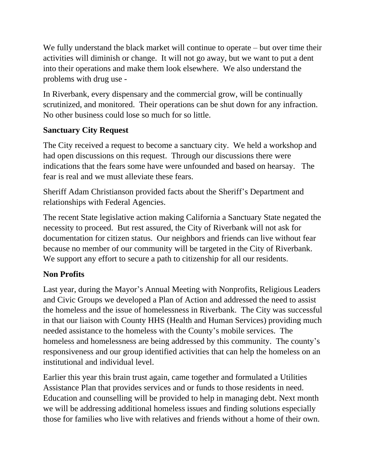We fully understand the black market will continue to operate – but over time their activities will diminish or change. It will not go away, but we want to put a dent into their operations and make them look elsewhere. We also understand the problems with drug use -

In Riverbank, every dispensary and the commercial grow, will be continually scrutinized, and monitored. Their operations can be shut down for any infraction. No other business could lose so much for so little.

### **Sanctuary City Request**

The City received a request to become a sanctuary city. We held a workshop and had open discussions on this request. Through our discussions there were indications that the fears some have were unfounded and based on hearsay. The fear is real and we must alleviate these fears.

Sheriff Adam Christianson provided facts about the Sheriff's Department and relationships with Federal Agencies.

The recent State legislative action making California a Sanctuary State negated the necessity to proceed. But rest assured, the City of Riverbank will not ask for documentation for citizen status. Our neighbors and friends can live without fear because no member of our community will be targeted in the City of Riverbank. We support any effort to secure a path to citizenship for all our residents.

## **Non Profits**

Last year, during the Mayor's Annual Meeting with Nonprofits, Religious Leaders and Civic Groups we developed a Plan of Action and addressed the need to assist the homeless and the issue of homelessness in Riverbank. The City was successful in that our liaison with County HHS (Health and Human Services) providing much needed assistance to the homeless with the County's mobile services. The homeless and homelessness are being addressed by this community. The county's responsiveness and our group identified activities that can help the homeless on an institutional and individual level.

Earlier this year this brain trust again, came together and formulated a Utilities Assistance Plan that provides services and or funds to those residents in need. Education and counselling will be provided to help in managing debt. Next month we will be addressing additional homeless issues and finding solutions especially those for families who live with relatives and friends without a home of their own.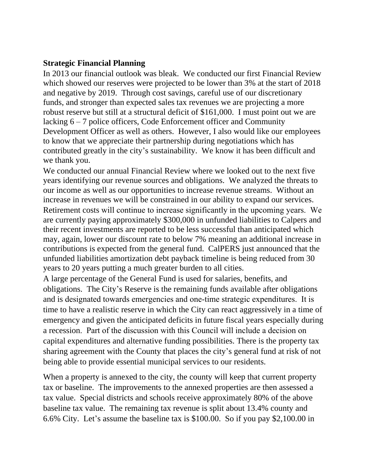#### **Strategic Financial Planning**

In 2013 our financial outlook was bleak. We conducted our first Financial Review which showed our reserves were projected to be lower than 3% at the start of 2018 and negative by 2019. Through cost savings, careful use of our discretionary funds, and stronger than expected sales tax revenues we are projecting a more robust reserve but still at a structural deficit of \$161,000. I must point out we are lacking 6 – 7 police officers, Code Enforcement officer and Community Development Officer as well as others. However, I also would like our employees to know that we appreciate their partnership during negotiations which has contributed greatly in the city's sustainability. We know it has been difficult and we thank you.

We conducted our annual Financial Review where we looked out to the next five years identifying our revenue sources and obligations. We analyzed the threats to our income as well as our opportunities to increase revenue streams. Without an increase in revenues we will be constrained in our ability to expand our services. Retirement costs will continue to increase significantly in the upcoming years. We are currently paying approximately \$300,000 in unfunded liabilities to Calpers and their recent investments are reported to be less successful than anticipated which may, again, lower our discount rate to below 7% meaning an additional increase in contributions is expected from the general fund. CalPERS just announced that the unfunded liabilities amortization debt payback timeline is being reduced from 30 years to 20 years putting a much greater burden to all cities.

A large percentage of the General Fund is used for salaries, benefits, and obligations. The City's Reserve is the remaining funds available after obligations and is designated towards emergencies and one-time strategic expenditures. It is time to have a realistic reserve in which the City can react aggressively in a time of emergency and given the anticipated deficits in future fiscal years especially during a recession. Part of the discussion with this Council will include a decision on capital expenditures and alternative funding possibilities. There is the property tax sharing agreement with the County that places the city's general fund at risk of not being able to provide essential municipal services to our residents.

When a property is annexed to the city, the county will keep that current property tax or baseline. The improvements to the annexed properties are then assessed a tax value. Special districts and schools receive approximately 80% of the above baseline tax value. The remaining tax revenue is split about 13.4% county and 6.6% City. Let's assume the baseline tax is \$100.00. So if you pay \$2,100.00 in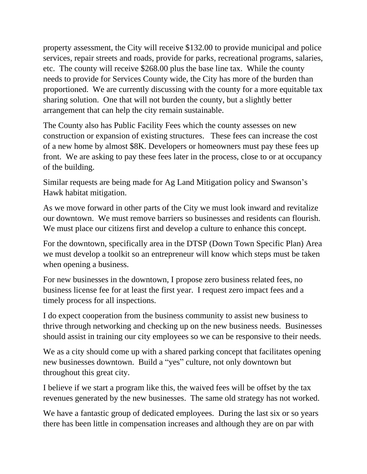property assessment, the City will receive \$132.00 to provide municipal and police services, repair streets and roads, provide for parks, recreational programs, salaries, etc. The county will receive \$268.00 plus the base line tax. While the county needs to provide for Services County wide, the City has more of the burden than proportioned. We are currently discussing with the county for a more equitable tax sharing solution. One that will not burden the county, but a slightly better arrangement that can help the city remain sustainable.

The County also has Public Facility Fees which the county assesses on new construction or expansion of existing structures. These fees can increase the cost of a new home by almost \$8K. Developers or homeowners must pay these fees up front. We are asking to pay these fees later in the process, close to or at occupancy of the building.

Similar requests are being made for Ag Land Mitigation policy and Swanson's Hawk habitat mitigation.

As we move forward in other parts of the City we must look inward and revitalize our downtown. We must remove barriers so businesses and residents can flourish. We must place our citizens first and develop a culture to enhance this concept.

For the downtown, specifically area in the DTSP (Down Town Specific Plan) Area we must develop a toolkit so an entrepreneur will know which steps must be taken when opening a business.

For new businesses in the downtown, I propose zero business related fees, no business license fee for at least the first year. I request zero impact fees and a timely process for all inspections.

I do expect cooperation from the business community to assist new business to thrive through networking and checking up on the new business needs. Businesses should assist in training our city employees so we can be responsive to their needs.

We as a city should come up with a shared parking concept that facilitates opening new businesses downtown. Build a "yes" culture, not only downtown but throughout this great city.

I believe if we start a program like this, the waived fees will be offset by the tax revenues generated by the new businesses. The same old strategy has not worked.

We have a fantastic group of dedicated employees. During the last six or so years there has been little in compensation increases and although they are on par with